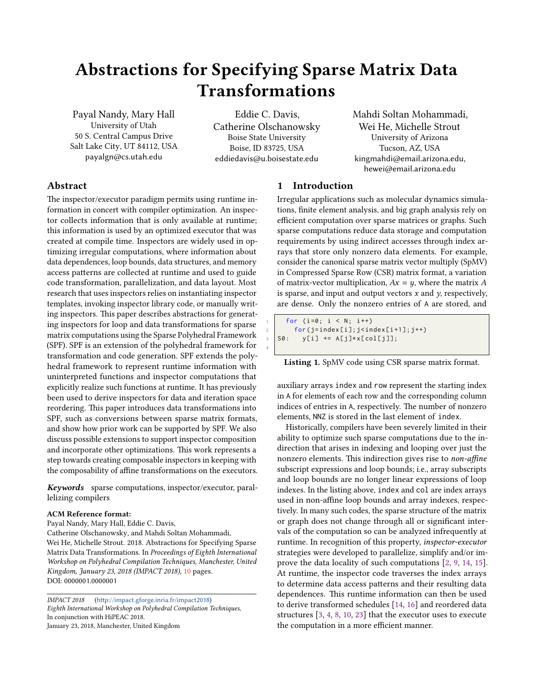# Abstractions for Specifying Sparse Matrix Data Transformations

Payal Nandy, Mary Hall University of Utah 50 S. Central Campus Drive Salt Lake City, UT 84112, USA payalgn@cs.utah.edu

Eddie C. Davis, Catherine Olschanowsky Boise State University Boise, ID 83725, USA eddiedavis@u.boisestate.edu

4

Mahdi Soltan Mohammadi, Wei He, Michelle Strout University of Arizona Tucson, AZ, USA kingmahdi@email.arizona.edu, hewei@email.arizona.edu

# Abstract

The inspector/executor paradigm permits using runtime information in concert with compiler optimization. An inspector collects information that is only available at runtime; this information is used by an optimized executor that was created at compile time. Inspectors are widely used in optimizing irregular computations, where information about data dependences, loop bounds, data structures, and memory access patterns are collected at runtime and used to guide code transformation, parallelization, and data layout. Most research that uses inspectors relies on instantiating inspector templates, invoking inspector library code, or manually writing inspectors. This paper describes abstractions for generating inspectors for loop and data transformations for sparse matrix computations using the Sparse Polyhedral Framework (SPF). SPF is an extension of the polyhedral framework for transformation and code generation. SPF extends the polyhedral framework to represent runtime information with uninterpreted functions and inspector computations that explicitly realize such functions at runtime. It has previously been used to derive inspectors for data and iteration space reordering. This paper introduces data transformations into SPF, such as conversions between sparse matrix formats, and show how prior work can be supported by SPF. We also discuss possible extensions to support inspector composition and incorporate other optimizations. This work represents a step towards creating composable inspectors in keeping with the composability of affine transformations on the executors.

Keywords sparse computations, inspector/executor, parallelizing compilers

#### ACM Reference format:

Payal Nandy, Mary Hall, Eddie C. Davis, Catherine Olschanowsky, and Mahdi Soltan Mohammadi, Wei He, Michelle Strout. 2018. Abstractions for Specifying Sparse Matrix Data Transformations. In Proceedings of Eighth International Workshop on Polyhedral Compilation Techniques, Manchester, United Kingdom, January 23, 2018 (IMPACT 2018), [10](#page-9-0) pages. DOI: 0000001.0000001

IMPACT 2018 (http://impact.gforge.inria.fr/impact2018) Eighth International Workshop on Polyhedral Compilation Techniques, In conjunction with HiPEAC 2018. January 23, 2018, Manchester, United Kingdom

# 1 Introduction

Irregular applications such as molecular dynamics simulations, finite element analysis, and big graph analysis rely on efficient computation over sparse matrices or graphs. Such sparse computations reduce data storage and computation requirements by using indirect accesses through index arrays that store only nonzero data elements. For example, consider the canonical sparse matrix vector multiply (SpMV) in Compressed Sparse Row (CSR) matrix format, a variation of matrix-vector multiplication,  $Ax = y$ , where the matrix A is sparse, and input and output vectors  $x$  and  $y$ , respectively, are dense. Only the nonzero entries of A are stored, and

```
for (i=0; i < N; i++)for (j=index[i]; j<index[i+1]; j++)S0: y[i] += A[j]*x[col[j]];
```
Listing 1. SpMV code using CSR sparse matrix format.

auxiliary arrays index and row represent the starting index in A for elements of each row and the corresponding column indices of entries in A, respectively. The number of nonzero elements, NNZ is stored in the last element of index.

Historically, compilers have been severely limited in their ability to optimize such sparse computations due to the indirection that arises in indexing and looping over just the nonzero elements. This indirection gives rise to non-affine subscript expressions and loop bounds; i.e., array subscripts and loop bounds are no longer linear expressions of loop indexes. In the listing above, index and col are index arrays used in non-affine loop bounds and array indexes, respectively. In many such codes, the sparse structure of the matrix or graph does not change through all or significant intervals of the computation so can be analyzed infrequently at runtime. In recognition of this property, inspector-executor strategies were developed to parallelize, simplify and/or improve the data locality of such computations [\[2,](#page-9-1) [9,](#page-9-2) [14,](#page-9-3) [15\]](#page-9-4). At runtime, the inspector code traverses the index arrays to determine data access patterns and their resulting data dependences. This runtime information can then be used to derive transformed schedules [\[14,](#page-9-3) [16\]](#page-9-5) and reordered data structures [\[3,](#page-9-6) [4,](#page-9-7) [8,](#page-9-8) [10,](#page-9-9) [23\]](#page-9-10) that the executor uses to execute the computation in a more efficient manner.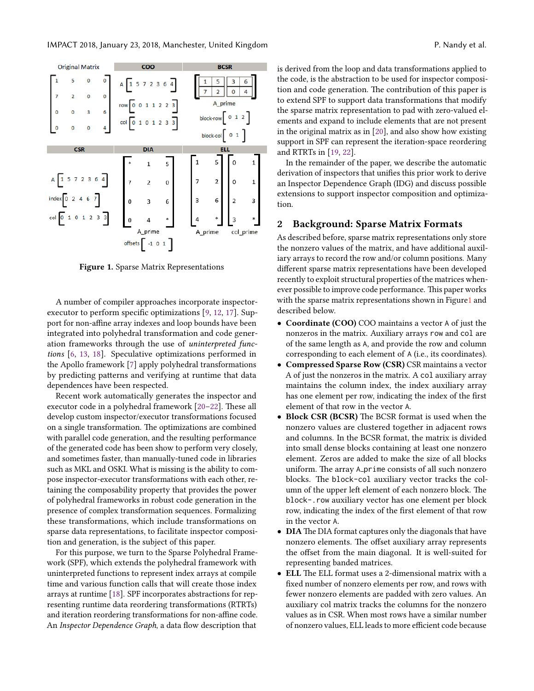<span id="page-1-0"></span>

Figure 1. Sparse Matrix Representations

A number of compiler approaches incorporate inspectorexecutor to perform specific optimizations  $[9, 12, 17]$  $[9, 12, 17]$  $[9, 12, 17]$  $[9, 12, 17]$  $[9, 12, 17]$ . Support for non-affine array indexes and loop bounds have been integrated into polyhedral transformation and code generation frameworks through the use of uninterpreted functions [\[6,](#page-9-13) [13,](#page-9-14) [18\]](#page-9-15). Speculative optimizations performed in the Apollo framework [\[7\]](#page-9-16) apply polyhedral transformations by predicting patterns and verifying at runtime that data dependences have been respected.

Recent work automatically generates the inspector and executor code in a polyhedral framework  $[20-22]$  $[20-22]$ . These all develop custom inspector/executor transformations focused on a single transformation. The optimizations are combined with parallel code generation, and the resulting performance of the generated code has been show to perform very closely, and sometimes faster, than manually-tuned code in libraries such as MKL and OSKI. What is missing is the ability to compose inspector-executor transformations with each other, retaining the composability property that provides the power of polyhedral frameworks in robust code generation in the presence of complex transformation sequences. Formalizing these transformations, which include transformations on sparse data representations, to facilitate inspector composition and generation, is the subject of this paper.

For this purpose, we turn to the Sparse Polyhedral Framework (SPF), which extends the polyhedral framework with uninterpreted functions to represent index arrays at compile time and various function calls that will create those index arrays at runtime [\[18\]](#page-9-15). SPF incorporates abstractions for representing runtime data reordering transformations (RTRTs) and iteration reordering transformations for non-affine code. An Inspector Dependence Graph, a data flow description that

is derived from the loop and data transformations applied to the code, is the abstraction to be used for inspector composition and code generation. The contribution of this paper is to extend SPF to support data transformations that modify the sparse matrix representation to pad with zero-valued elements and expand to include elements that are not present in the original matrix as in [\[20\]](#page-9-17), and also show how existing support in SPF can represent the iteration-space reordering and RTRTs in [\[19,](#page-9-19) [22\]](#page-9-18).

In the remainder of the paper, we describe the automatic derivation of inspectors that unifies this prior work to derive an Inspector Dependence Graph (IDG) and discuss possible extensions to support inspector composition and optimization.

#### 2 Background: Sparse Matrix Formats

As described before, sparse matrix representations only store the nonzero values of the matrix, and have additional auxiliary arrays to record the row and/or column positions. Many different sparse matrix representations have been developed recently to exploit structural properties of the matrices whenever possible to improve code performance. This paper works with the sparse matrix representations shown in Figur[e1](#page-1-0) and described below.

- Coordinate (COO) COO maintains a vector A of just the nonzeros in the matrix. Auxiliary arrays row and col are of the same length as A, and provide the row and column corresponding to each element of A (i.e., its coordinates).
- Compressed Sparse Row (CSR) CSR maintains a vector A of just the nonzeros in the matrix. A col auxiliary array maintains the column index, the index auxiliary array has one element per row, indicating the index of the first element of that row in the vector A.
- Block CSR (BCSR) The BCSR format is used when the nonzero values are clustered together in adjacent rows and columns. In the BCSR format, the matrix is divided into small dense blocks containing at least one nonzero element. Zeros are added to make the size of all blocks uniform. The array A prime consists of all such nonzero blocks. The block-col auxiliary vector tracks the column of the upper left element of each nonzero block. The block-.row auxiliary vector has one element per block row, indicating the index of the first element of that row in the vector A.
- DIA The DIA format captures only the diagonals that have nonzero elements. The offset auxiliary array represents the offset from the main diagonal. It is well-suited for representing banded matrices.
- ELL The ELL format uses a 2-dimensional matrix with a fixed number of nonzero elements per row, and rows with fewer nonzero elements are padded with zero values. An auxiliary col matrix tracks the columns for the nonzero values as in CSR. When most rows have a similar number of nonzero values, ELL leads to more efficient code because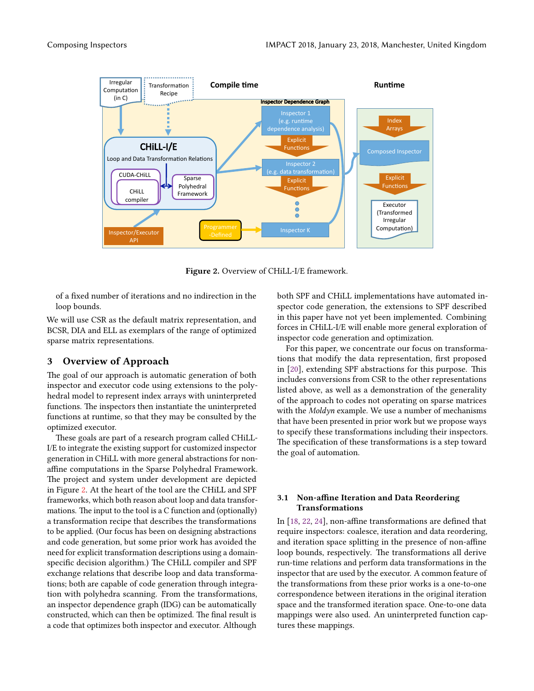<span id="page-2-0"></span>

Figure 2. Overview of CHiLL-I/E framework.

of a fixed number of iterations and no indirection in the loop bounds.

We will use CSR as the default matrix representation, and BCSR, DIA and ELL as exemplars of the range of optimized sparse matrix representations.

# 3 Overview of Approach

The goal of our approach is automatic generation of both inspector and executor code using extensions to the polyhedral model to represent index arrays with uninterpreted functions. The inspectors then instantiate the uninterpreted functions at runtime, so that they may be consulted by the optimized executor.

These goals are part of a research program called CHiLL-I/E to integrate the existing support for customized inspector generation in CHiLL with more general abstractions for nonaffine computations in the Sparse Polyhedral Framework. The project and system under development are depicted in Figure [2.](#page-2-0) At the heart of the tool are the CHiLL and SPF frameworks, which both reason about loop and data transformations. The input to the tool is a  $C$  function and (optionally) a transformation recipe that describes the transformations to be applied. (Our focus has been on designing abstractions and code generation, but some prior work has avoided the need for explicit transformation descriptions using a domainspecific decision algorithm.) The CHiLL compiler and SPF exchange relations that describe loop and data transformations; both are capable of code generation through integration with polyhedra scanning. From the transformations, an inspector dependence graph (IDG) can be automatically constructed, which can then be optimized. The final result is a code that optimizes both inspector and executor. Although

both SPF and CHiLL implementations have automated inspector code generation, the extensions to SPF described in this paper have not yet been implemented. Combining forces in CHiLL-I/E will enable more general exploration of inspector code generation and optimization.

For this paper, we concentrate our focus on transformations that modify the data representation, first proposed in [\[20\]](#page-9-17), extending SPF abstractions for this purpose. This includes conversions from CSR to the other representations listed above, as well as a demonstration of the generality of the approach to codes not operating on sparse matrices with the Moldyn example. We use a number of mechanisms that have been presented in prior work but we propose ways to specify these transformations including their inspectors. The specification of these transformations is a step toward the goal of automation.

#### 3.1 Non-affine Iteration and Data Reordering Transformations

In  $[18, 22, 24]$  $[18, 22, 24]$  $[18, 22, 24]$  $[18, 22, 24]$  $[18, 22, 24]$ , non-affine transformations are defined that require inspectors: coalesce, iteration and data reordering, and iteration space splitting in the presence of non-affine loop bounds, respectively. The transformations all derive run-time relations and perform data transformations in the inspector that are used by the executor. A common feature of the transformations from these prior works is a one-to-one correspondence between iterations in the original iteration space and the transformed iteration space. One-to-one data mappings were also used. An uninterpreted function captures these mappings.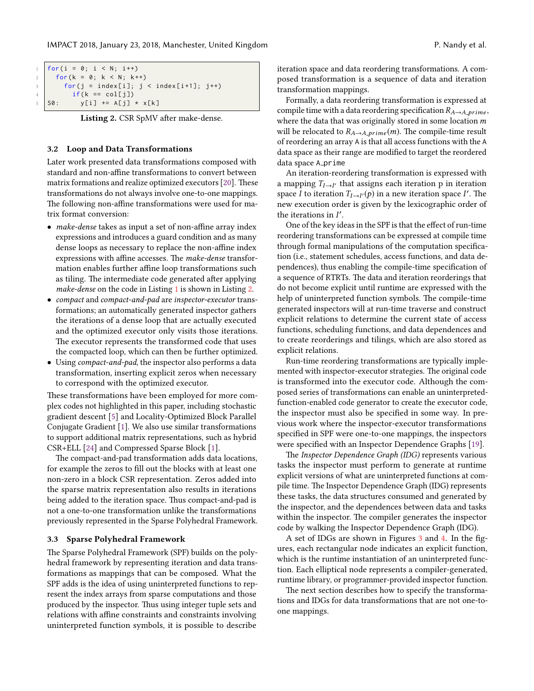<span id="page-3-0"></span>

| 1   for(i = 0; i < N; i++)                 |
|--------------------------------------------|
| 2   for $(k = 0; k < N; k++)$              |
| 3   for(j = index[i]; j < index[i+1]; j++) |
| $if(k == col[i])$<br>$4\,$ and $\,$        |
| $5$ SO:<br>y[i] += A[j] * x[k]             |

Listing 2. CSR SpMV after make-dense.

#### 3.2 Loop and Data Transformations

Later work presented data transformations composed with standard and non-affine transformations to convert between matrix formations and realize optimized executors [\[20\]](#page-9-17). These transformations do not always involve one-to-one mappings. The following non-affine transformations were used for matrix format conversion:

- make-dense takes as input a set of non-affine array index expressions and introduces a guard condition and as many dense loops as necessary to replace the non-affine index expressions with affine accesses. The make-dense transformation enables further affine loop transformations such as tiling. The intermediate code generated after applying make-dense on the code in Listing [1](#page-0-0) is shown in Listing [2.](#page-3-0)
- compact and compact-and-pad are inspector-executor transformations; an automatically generated inspector gathers the iterations of a dense loop that are actually executed and the optimized executor only visits those iterations. The executor represents the transformed code that uses the compacted loop, which can then be further optimized.
- Using compact-and-pad, the inspector also performs a data transformation, inserting explicit zeros when necessary to correspond with the optimized executor.

These transformations have been employed for more complex codes not highlighted in this paper, including stochastic gradient descent [\[5\]](#page-9-21) and Locality-Optimized Block Parallel Conjugate Gradient [\[1\]](#page-9-22). We also use similar transformations to support additional matrix representations, such as hybrid CSR+ELL [\[24\]](#page-9-20) and Compressed Sparse Block [\[1\]](#page-9-22).

The compact-and-pad transformation adds data locations, for example the zeros to fill out the blocks with at least one non-zero in a block CSR representation. Zeros added into the sparse matrix representation also results in iterations being added to the iteration space. Thus compact-and-pad is not a one-to-one transformation unlike the transformations previously represented in the Sparse Polyhedral Framework.

#### 3.3 Sparse Polyhedral Framework

The Sparse Polyhedral Framework (SPF) builds on the polyhedral framework by representing iteration and data transformations as mappings that can be composed. What the SPF adds is the idea of using uninterpreted functions to represent the index arrays from sparse computations and those produced by the inspector. Thus using integer tuple sets and relations with affine constraints and constraints involving uninterpreted function symbols, it is possible to describe

iteration space and data reordering transformations. A composed transformation is a sequence of data and iteration transformation mappings.

Formally, a data reordering transformation is expressed at compile time with a data reordering specification  $R_{A\rightarrow A_{\perp}prime}$ , where the data that was originally stored in some location  $m$ will be relocated to  $R_{A\rightarrow A\_prime}(m)$ . The compile-time result of reordering an array A is that all access functions with the A data space as their range are modified to target the reordered data space A\_prime

An iteration-reordering transformation is expressed with a mapping  $T_{I\rightarrow I'}$  that assigns each iteration p in iteration<br>space I to iteration  $T_{I\rightarrow I}(n)$  in a new iteration space I'. The space I to iteration  $T_{I\rightarrow I'}(p)$  in a new iteration space I'. The new execution order is given by the lexicographic order of new execution order is given by the lexicographic order of the iterations in  $I'$ .<br>One of the key id

One of the key ideas in the SPF is that the effect of run-time reordering transformations can be expressed at compile time through formal manipulations of the computation specification (i.e., statement schedules, access functions, and data dependences), thus enabling the compile-time specification of a sequence of RTRTs. The data and iteration reorderings that do not become explicit until runtime are expressed with the help of uninterpreted function symbols. The compile-time generated inspectors will at run-time traverse and construct explicit relations to determine the current state of access functions, scheduling functions, and data dependences and to create reorderings and tilings, which are also stored as explicit relations.

Run-time reordering transformations are typically implemented with inspector-executor strategies. The original code is transformed into the executor code. Although the composed series of transformations can enable an uninterpretedfunction-enabled code generator to create the executor code, the inspector must also be specified in some way. In previous work where the inspector-executor transformations specified in SPF were one-to-one mappings, the inspectors were specified with an Inspector Dependence Graphs [\[19\]](#page-9-19).

The Inspector Dependence Graph (IDG) represents various tasks the inspector must perform to generate at runtime explicit versions of what are uninterpreted functions at compile time. The Inspector Dependence Graph (IDG) represents these tasks, the data structures consumed and generated by the inspector, and the dependences between data and tasks within the inspector. The compiler generates the inspector code by walking the Inspector Dependence Graph (IDG).

A set of IDGs are shown in Figures [3](#page-6-0) and [4.](#page-6-1) In the figures, each rectangular node indicates an explicit function, which is the runtime instantiation of an uninterpreted function. Each elliptical node represents a compiler-generated, runtime library, or programmer-provided inspector function.

The next section describes how to specify the transformations and IDGs for data transformations that are not one-toone mappings.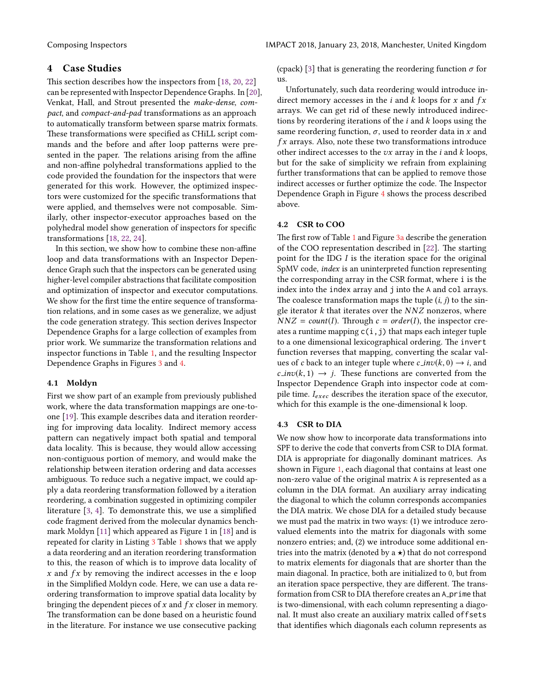# 4 Case Studies

This section describes how the inspectors from [\[18,](#page-9-15) [20,](#page-9-17) [22\]](#page-9-18) can be represented with Inspector Dependence Graphs. In [\[20\]](#page-9-17), Venkat, Hall, and Strout presented the make-dense, compact, and compact-and-pad transformations as an approach to automatically transform between sparse matrix formats. These transformations were specified as CHiLL script commands and the before and after loop patterns were presented in the paper. The relations arising from the affine and non-affine polyhedral transformations applied to the code provided the foundation for the inspectors that were generated for this work. However, the optimized inspectors were customized for the specific transformations that were applied, and themselves were not composable. Similarly, other inspector-executor approaches based on the polyhedral model show generation of inspectors for specific transformations [\[18,](#page-9-15) [22,](#page-9-18) [24\]](#page-9-20).

In this section, we show how to combine these non-affine loop and data transformations with an Inspector Dependence Graph such that the inspectors can be generated using higher-level compiler abstractions that facilitate composition and optimization of inspector and executor computations. We show for the first time the entire sequence of transformation relations, and in some cases as we generalize, we adjust the code generation strategy. This section derives Inspector Dependence Graphs for a large collection of examples from prior work. We summarize the transformation relations and inspector functions in Table [1,](#page-5-0) and the resulting Inspector Dependence Graphs in Figures [3](#page-6-0) and [4.](#page-6-1)

#### 4.1 Moldyn

First we show part of an example from previously published work, where the data transformation mappings are one-to-one [\[19\]](#page-9-19). This example describes data and iteration reordering for improving data locality. Indirect memory access pattern can negatively impact both spatial and temporal data locality. This is because, they would allow accessing non-contiguous portion of memory, and would make the relationship between iteration ordering and data accesses ambiguous. To reduce such a negative impact, we could apply a data reordering transformation followed by a iteration reordering, a combination suggested in optimizing compiler literature  $[3, 4]$  $[3, 4]$  $[3, 4]$ . To demonstrate this, we use a simplified code fragment derived from the molecular dynamics benchmark Moldyn [\[11\]](#page-9-23) which appeared as Figure 1 in [\[18\]](#page-9-15) and is repeated for clarity in Listing [3](#page-6-2) Table [1](#page-5-0) shows that we apply a data reordering and an iteration reordering transformation to this, the reason of which is to improve data locality of  $x$  and  $fx$  by removing the indirect accesses in the e loop in the Simplified Moldyn code. Here, we can use a data reordering transformation to improve spatial data locality by bringing the dependent pieces of  $x$  and  $fx$  closer in memory. The transformation can be done based on a heuristic found in the literature. For instance we use consecutive packing

(cpack) [\[3\]](#page-9-6) that is generating the reordering function  $\sigma$  for us.

Unfortunately, such data reordering would introduce indirect memory accesses in the  $i$  and  $k$  loops for  $x$  and  $fx$ arrays. We can get rid of these newly introduced indirections by reordering iterations of the  $i$  and  $k$  loops using the same reordering function,  $\sigma$ , used to reorder data in x and  $fx$  arrays. Also, note these two transformations introduce other indirect accesses to the  $vx$  array in the  $i$  and  $k$  loops, but for the sake of simplicity we refrain from explaining further transformations that can be applied to remove those indirect accesses or further optimize the code. The Inspector Dependence Graph in Figure [4](#page-6-1) shows the process described above.

#### 4.2 CSR to COO

The first row of Table [1](#page-5-0) and Figure [3a](#page-6-0) describe the generation of the COO representation described in  $[22]$ . The starting point for the IDG I is the iteration space for the original SpMV code, index is an uninterpreted function representing the corresponding array in the CSR format, where i is the index into the index array and j into the A and col arrays. The coalesce transformation maps the tuple  $(i, j)$  to the single iterator  $k$  that iterates over the  $NNZ$  nonzeros, where  $NNZ = count(I)$ . Through  $c = order(I)$ , the inspector creates a runtime mapping  $c(i,j)$  that maps each integer tuple to a one dimensional lexicographical ordering. The invert function reverses that mapping, converting the scalar values of c back to an integer tuple where  $c\_inv(k, 0) \rightarrow i$ , and  $c \cdot inv(k, 1) \rightarrow j$ . These functions are converted from the Inspector Dependence Graph into inspector code at compile time.  $I_{exec}$  describes the iteration space of the executor, which for this example is the one-dimensional k loop.

#### 4.3 CSR to DIA

We now show how to incorporate data transformations into SPF to derive the code that converts from CSR to DIA format. DIA is appropriate for diagonally dominant matrices. As shown in Figure [1,](#page-1-0) each diagonal that contains at least one non-zero value of the original matrix A is represented as a column in the DIA format. An auxiliary array indicating the diagonal to which the column corresponds accompanies the DIA matrix. We chose DIA for a detailed study because we must pad the matrix in two ways: (1) we introduce zerovalued elements into the matrix for diagonals with some nonzero entries; and, (2) we introduce some additional entries into the matrix (denoted by  $a \star$ ) that do not correspond to matrix elements for diagonals that are shorter than the main diagonal. In practice, both are initialized to 0, but from an iteration space perspective, they are different. The transformation from CSR to DIA therefore creates an A\_prime that is two-dimensional, with each column representing a diagonal. It must also create an auxiliary matrix called offsets that identifies which diagonals each column represents as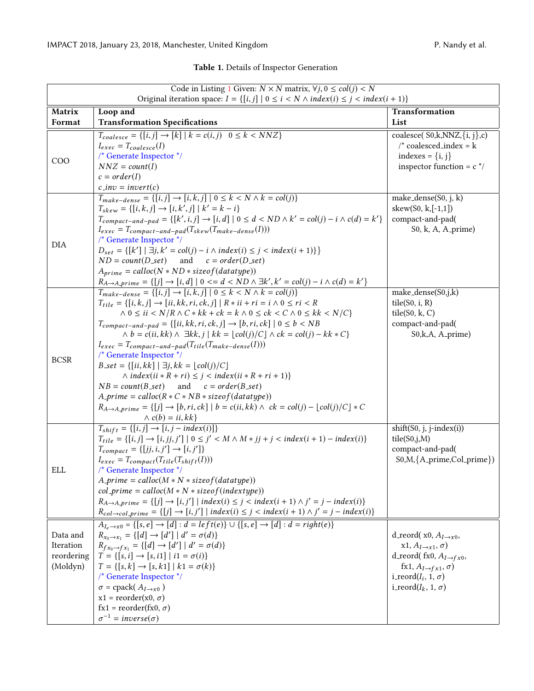# Table 1. Details of Inspector Generation

<span id="page-5-0"></span>

| Code in Listing 1 Given: $N \times N$ matrix, $\forall j, 0 \leq \text{col}(j) < N$            |                                                                                                                                                                                                                                                 |                                                                           |  |  |  |  |  |  |  |
|------------------------------------------------------------------------------------------------|-------------------------------------------------------------------------------------------------------------------------------------------------------------------------------------------------------------------------------------------------|---------------------------------------------------------------------------|--|--|--|--|--|--|--|
| Original iteration space: $I = \{ [i, j]   0 \le i < N \land index(i) \le j < index(i + 1) \}$ |                                                                                                                                                                                                                                                 |                                                                           |  |  |  |  |  |  |  |
| Matrix                                                                                         | Loop and                                                                                                                                                                                                                                        | Transformation                                                            |  |  |  |  |  |  |  |
| Format                                                                                         | <b>Transformation Specifications</b>                                                                                                                                                                                                            | List                                                                      |  |  |  |  |  |  |  |
|                                                                                                | $T_{coalesce} = \{ [i,j] \rightarrow [k]   k = c(i,j) \quad 0 \le k \le NNZ \}$<br>$I_{exec} = T_{coalesce}(I)$                                                                                                                                 | coalesce( $S0, k, NNZ, \{i, j\}, c$ )<br>$\prime^*$ coalesced_index = k   |  |  |  |  |  |  |  |
|                                                                                                | $/*$ Generate Inspector $*/$                                                                                                                                                                                                                    | indexes = $\{i, j\}$                                                      |  |  |  |  |  |  |  |
| <b>COO</b>                                                                                     | $NNZ = count(I)$                                                                                                                                                                                                                                | inspector function = $c^*/$                                               |  |  |  |  |  |  |  |
|                                                                                                | $c = order(I)$                                                                                                                                                                                                                                  |                                                                           |  |  |  |  |  |  |  |
|                                                                                                | $c$ <sub>-inv</sub> = invert(c)                                                                                                                                                                                                                 |                                                                           |  |  |  |  |  |  |  |
|                                                                                                | $T_{make-dense} = \{ [i, j] \rightarrow [i, k, j] \mid 0 \le k < N \land k = col(j) \}$                                                                                                                                                         | make_dense(S0, j, k)                                                      |  |  |  |  |  |  |  |
|                                                                                                | $T_{skew} = \{ [i, k, j] \rightarrow [i, k', j] \mid k' = k - i \}$                                                                                                                                                                             | skew $(S0, k, [-1,1])$                                                    |  |  |  |  |  |  |  |
|                                                                                                | $T_{compact-and-pad} = \{ [k', i, j] \rightarrow [i, d] \mid 0 \le d < ND \wedge k' = col(j) - i \wedge c(d) = k' \}$                                                                                                                           | compact-and-pad(                                                          |  |  |  |  |  |  |  |
|                                                                                                | $I_{exec} = T_{compact-and-pad}(T_{skew}(T_{make-dense}(I)))$<br>/* Generate Inspector */                                                                                                                                                       | $S_0$ , k, A, A <sub>-</sub> prime)                                       |  |  |  |  |  |  |  |
| <b>DIA</b>                                                                                     | $D_{set} = \{ [k'] \mid \exists j, k' = col(j) - i \land index(i) \le j < index(i + 1) \} \}$                                                                                                                                                   |                                                                           |  |  |  |  |  |  |  |
|                                                                                                | and $c = order(D_set)$<br>$ND = count(D_set)$                                                                                                                                                                                                   |                                                                           |  |  |  |  |  |  |  |
|                                                                                                | $A_{prime} = calloc(N * ND * sizeof(data type))$                                                                                                                                                                                                |                                                                           |  |  |  |  |  |  |  |
|                                                                                                | $R_{A\rightarrow A\_prime}$ = {[j] $\rightarrow$ [i, d]   0 <= d < ND $\land$ $\exists k', k' = col(j) - i \land c(d) = k'$ }                                                                                                                   |                                                                           |  |  |  |  |  |  |  |
|                                                                                                | $T_{make-dense} = \{ [i, j] \rightarrow [i, k, j] \mid 0 \le k < N \land k = col(j) \}$                                                                                                                                                         | make_dense(S0,j,k)                                                        |  |  |  |  |  |  |  |
|                                                                                                | $T_{tile} = \{ [i, k, j] \rightarrow [ii, kk, ri, ck, j] \mid R \times ii + ri = i \land 0 \le ri \le R \}$<br>$\wedge$ 0 $\leq$ <i>ii</i> $\langle N/R \wedge C * kk + ck = k \wedge 0 \leq ck \langle C \wedge 0 \leq kk \langle N/C \rangle$ | tile(S0, i, R)                                                            |  |  |  |  |  |  |  |
|                                                                                                | $T_{compact-and-pad} = \{ [ii, kk, ri, ck, j] \rightarrow [b, ri, ck] \mid 0 \leq b < NB \}$                                                                                                                                                    | tile(S0, k, C)<br>compact-and-pad(                                        |  |  |  |  |  |  |  |
|                                                                                                | $\wedge b = c(ii, kk) \wedge \exists kk, j \mid kk = \lfloor col(j)/C \rfloor \wedge ck = col(j) - kk * C$                                                                                                                                      | S0,k,A, A_prime)                                                          |  |  |  |  |  |  |  |
|                                                                                                | $I_{exec} = T_{compact-and-pad}(T_{tile}(T_{make-dense}(I)))$                                                                                                                                                                                   |                                                                           |  |  |  |  |  |  |  |
| <b>BCSR</b>                                                                                    | /* Generate Inspector */                                                                                                                                                                                                                        |                                                                           |  |  |  |  |  |  |  |
|                                                                                                | $B_set = \{ [ii, kk]   \exists j, kk = \lfloor col(j)/C \rfloor$                                                                                                                                                                                |                                                                           |  |  |  |  |  |  |  |
|                                                                                                | $\land index(ii * R + ri) \leq j < index(ii * R + ri + 1)$                                                                                                                                                                                      |                                                                           |  |  |  |  |  |  |  |
|                                                                                                | $NB = count(B_set)$<br>and $c = order(B_set)$                                                                                                                                                                                                   |                                                                           |  |  |  |  |  |  |  |
|                                                                                                | $A\text{-}prime = calloc(R * C * NB * sizeof(datatype))$                                                                                                                                                                                        |                                                                           |  |  |  |  |  |  |  |
|                                                                                                | $R_{A\rightarrow A\text{-prime}} = \{ [j] \rightarrow [b, ri, ck] \mid b = c(ii, kk) \land ck = col(j) - \lfloor col(j)/C \rfloor * C$<br>$\wedge$ c(b) = ii, kk}                                                                               |                                                                           |  |  |  |  |  |  |  |
|                                                                                                | $T_{shift} = \{ [i, j] \rightarrow [i, j - index(i)] \}$                                                                                                                                                                                        | shift(S0, j, j-index(i))                                                  |  |  |  |  |  |  |  |
|                                                                                                | $T_{tile} = \{ [i, j] \rightarrow [i, jj, j'] \mid 0 \le j' < M \wedge M * jj + j < index(i + 1) - index(i) \}$                                                                                                                                 | tile(S0,j,M)                                                              |  |  |  |  |  |  |  |
|                                                                                                | $T_{compact} = \{ [jj, i, j'] \rightarrow [i, j'] \}$                                                                                                                                                                                           | compact-and-pad(                                                          |  |  |  |  |  |  |  |
|                                                                                                | $I_{exec} = T_{compact}(T_{tile}(T_{shift}(I)))$                                                                                                                                                                                                | S0,M, {A_prime, Col_prime})                                               |  |  |  |  |  |  |  |
| ELL                                                                                            | /* Generate Inspector */                                                                                                                                                                                                                        |                                                                           |  |  |  |  |  |  |  |
|                                                                                                | $A\text{-}prime = calloc(M*N * sizeof(datatype))$                                                                                                                                                                                               |                                                                           |  |  |  |  |  |  |  |
|                                                                                                | $col\_prime = calloc(M*N * sizeof(indextype))$                                                                                                                                                                                                  |                                                                           |  |  |  |  |  |  |  |
|                                                                                                | $R_{A\rightarrow A\_prime prime} = \{ [j] \rightarrow [i, j'] \mid index(i) \leq j < index(i + 1) \land j' = j - index(i) \}$                                                                                                                   |                                                                           |  |  |  |  |  |  |  |
|                                                                                                | $R_{col \rightarrow col\_prime} = \{ [j] \rightarrow [i,j'] \mid index(i) \leq j < index(i+1) \land j' = j - index(i) \}$                                                                                                                       |                                                                           |  |  |  |  |  |  |  |
|                                                                                                | $A_{I_e \to x0} = \{ [s, e] \to [d] : d = left(e) \} \cup \{ [s, e] \to [d] : d = right(e) \}$                                                                                                                                                  |                                                                           |  |  |  |  |  |  |  |
| Data and<br>Iteration                                                                          | $R_{x_0 \to x_1} = \{ [d] \to [d'] \mid d' = \sigma(d) \}$<br>$R_{fx_0 \to fx_1} = \{ [d] \to [d'] \mid d' = \sigma(d) \}$                                                                                                                      | d_reord( $x0, A_{I\rightarrow x0}$ )<br>$x1, A_{I\rightarrow x1}, \sigma$ |  |  |  |  |  |  |  |
| reordering                                                                                     | $T = \{ [s, i] \rightarrow [s, i] \mid i1 = \sigma(i) \}$                                                                                                                                                                                       | d_reord( fx0, $A_{I\rightarrow fx0}$ ,                                    |  |  |  |  |  |  |  |
| (Moldyn)                                                                                       | $T = \{ [s, k] \rightarrow [s, k] \mid k1 = \sigma(k) \}$                                                                                                                                                                                       | fx1, $A_{I\rightarrow fx1}$ , $\sigma$ )                                  |  |  |  |  |  |  |  |
|                                                                                                | $/*$ Generate Inspector $*/$                                                                                                                                                                                                                    | i_reord $(I_i, 1, \sigma)$                                                |  |  |  |  |  |  |  |
|                                                                                                | $\sigma$ = cpack( $A_{I\rightarrow x0}$ )                                                                                                                                                                                                       | i_reord( $I_k$ , 1, $\sigma$ )                                            |  |  |  |  |  |  |  |
|                                                                                                | $x1 = reorder(x0, \sigma)$                                                                                                                                                                                                                      |                                                                           |  |  |  |  |  |  |  |
|                                                                                                | $fx1 = reorder(fx0, \sigma)$                                                                                                                                                                                                                    |                                                                           |  |  |  |  |  |  |  |
|                                                                                                | $\sigma^{-1} = inverse(\sigma)$                                                                                                                                                                                                                 |                                                                           |  |  |  |  |  |  |  |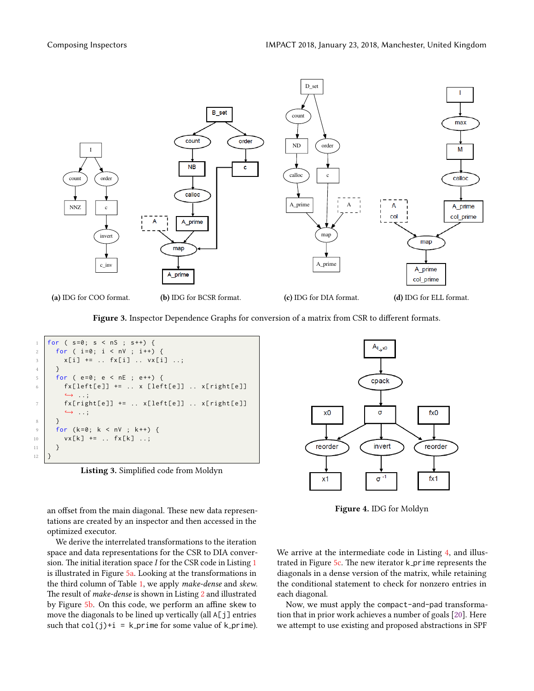<span id="page-6-0"></span>

Figure 3. Inspector Dependence Graphs for conversion of a matrix from CSR to different formats.

<span id="page-6-2"></span>

Listing 3. Simplified code from Moldyn

an offset from the main diagonal. These new data representations are created by an inspector and then accessed in the optimized executor.

We derive the interrelated transformations to the iteration space and data representations for the CSR to DIA conversion. The initial iteration space  $I$  for the CSR code in Listing [1](#page-0-0) is illustrated in Figure [5a.](#page-7-0) Looking at the transformations in the third column of Table [1,](#page-5-0) we apply make-dense and skew. The result of *make-dense* is shown in Listing [2](#page-3-0) and illustrated by Figure [5b.](#page-7-0) On this code, we perform an affine skew to move the diagonals to be lined up vertically (all A[j] entries such that  $col(j)+i = k$ -prime for some value of k-prime).

<span id="page-6-1"></span>

Figure 4. IDG for Moldyn

We arrive at the intermediate code in Listing [4,](#page-7-1) and illustrated in Figure  $5c$ . The new iterator k prime represents the diagonals in a dense version of the matrix, while retaining the conditional statement to check for nonzero entries in each diagonal.

Now, we must apply the compact-and-pad transformation that in prior work achieves a number of goals [\[20\]](#page-9-17). Here we attempt to use existing and proposed abstractions in SPF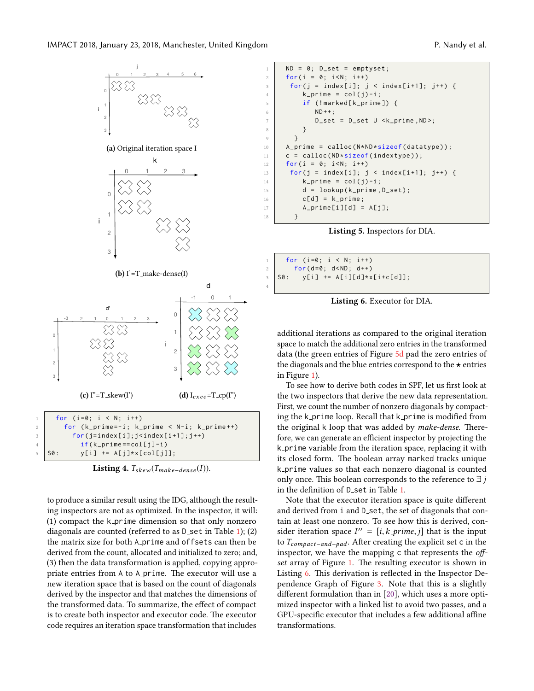<span id="page-7-0"></span>

<span id="page-7-1"></span>Listing 4.  $T_{skew}(T_{make-dense}(I)).$ 

to produce a similar result using the IDG, although the resulting inspectors are not as optimized. In the inspector, it will: (1) compact the k prime dimension so that only nonzero diagonals are counted (referred to as  $D$  set in Table [1\)](#page-5-0); (2) the matrix size for both A\_prime and offsets can then be derived from the count, allocated and initialized to zero; and, (3) then the data transformation is applied, copying appropriate entries from A to A<sub>-</sub>prime. The executor will use a new iteration space that is based on the count of diagonals derived by the inspector and that matches the dimensions of the transformed data. To summarize, the effect of compact is to create both inspector and executor code. The executor code requires an iteration space transformation that includes

```
1 ND = 0; D_set = emptyset;
2 for (i = 0; i < N; i + +)
3 \mid for (j = index[i]; j < index[i+1]; j++) {
4 k_prime = col(j)-i;
        if (!marked[k_prime]) {
6 ND++;7 D_set = D_set U < k_prime, ND>;
8 }
9 }
10 A_prime = calloc (N*ND*sizeof (datatype));
11 c = calloc (ND*sizeof (indextype));
12 \int for (i = 0; i < N; i + +)
13 \left| \text{for (j = index[i]; j < index[i+1]; j++) } \right|14 k_prime = col(j)-i;
15 d = lookup (k_prime, D_set);
16 c[d] = k_prime;
17 A_prime [i][d] = A[j];
18 }
```


<span id="page-7-2"></span>

| $\mathbf{1}$ | for $(i=0; i < N; i++)$                                          |  |
|--------------|------------------------------------------------------------------|--|
|              |                                                                  |  |
|              | for(d=0; d <nd; d++)<br=""> S0: y[i] += A[i][d]*x[i+c[d]];</nd;> |  |

4

Listing 6. Executor for DIA.

additional iterations as compared to the original iteration space to match the additional zero entries in the transformed data (the green entries of Figure [5d](#page-7-0) pad the zero entries of the diagonals and the blue entries correspond to the  $\star$  entries in Figure [1\)](#page-1-0).

To see how to derive both codes in SPF, let us first look at the two inspectors that derive the new data representation. First, we count the number of nonzero diagonals by compacting the k\_prime loop. Recall that k\_prime is modified from the original k loop that was added by make-dense. Therefore, we can generate an efficient inspector by projecting the k prime variable from the iteration space, replacing it with its closed form. The boolean array marked tracks unique k prime values so that each nonzero diagonal is counted only once. This boolean corresponds to the reference to  $\exists j$ in the definition of D<sub>-set</sub> in Table [1.](#page-5-0)

Note that the executor iteration space is quite different and derived from i and  $D$  set, the set of diagonals that contain at least one nonzero. To see how this is derived, consider iteration space  $I'' = [i, k\_prime, j]$  that is the input to  $T = 0$  at  $\Delta$  fter creating the explicit set  $\epsilon$  in the to  $T_{compact-and-pad}$ . After creating the explicit set c in the inspector, we have the mapping  $c$  that represents the off-set array of Figure [1.](#page-1-0) The resulting executor is shown in Listing [6.](#page-7-2) This derivation is reflected in the Inspector Dependence Graph of Figure [3.](#page-6-0) Note that this is a slightly different formulation than in  $[20]$ , which uses a more optimized inspector with a linked list to avoid two passes, and a GPU-specific executor that includes a few additional affine transformations.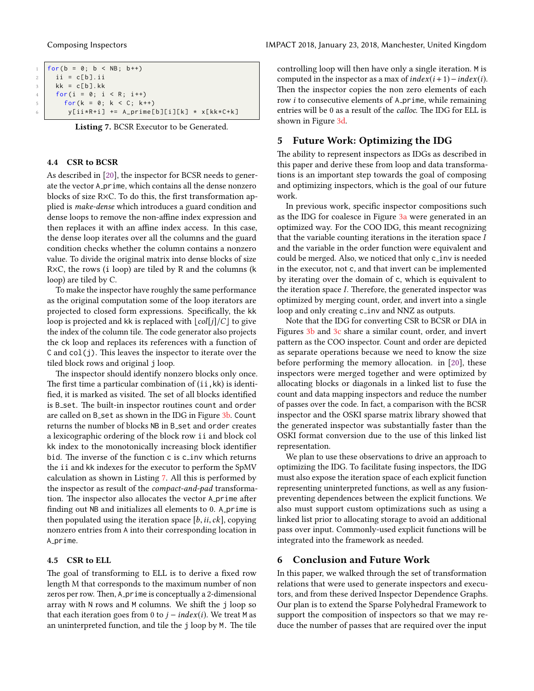<span id="page-8-0"></span>

|           | 1   for(b = 0; b < NB; b++)                      |                                           |  |  |
|-----------|--------------------------------------------------|-------------------------------------------|--|--|
|           | $2 \mid \text{ii} = \text{c[b]} \cdot \text{ii}$ |                                           |  |  |
|           | $3 \mid kk = c[b].kk$                            |                                           |  |  |
| $4 \quad$ | for(i = $0$ ; i < R; i++)                        |                                           |  |  |
| $5-1$     | for( $k = 0; k < C; k++)$                        |                                           |  |  |
| 6         |                                                  | y[ii*R+i] += A_prime[b][i][k] * x[kk*C+k] |  |  |

Listing 7. BCSR Executor to be Generated.

#### 4.4 CSR to BCSR

As described in [\[20\]](#page-9-17), the inspector for BCSR needs to generate the vector A prime, which contains all the dense nonzero blocks of size R $\times$ C. To do this, the first transformation applied is make-dense which introduces a guard condition and dense loops to remove the non-affine index expression and then replaces it with an affine index access. In this case, the dense loop iterates over all the columns and the guard condition checks whether the column contains a nonzero value. To divide the original matrix into dense blocks of size R×C, the rows (i loop) are tiled by R and the columns (k loop) are tiled by C.

To make the inspector have roughly the same performance as the original computation some of the loop iterators are projected to closed form expressions. Specifically, the kk loop is projected and kk is replaced with  $\lfloor col[j]/C \rfloor$  to give the index of the column tile. The code generator also projects the ck loop and replaces its references with a function of  $C$  and  $col(j)$ . This leaves the inspector to iterate over the tiled block rows and original j loop.

The inspector should identify nonzero blocks only once. The first time a particular combination of  $(ii, kk)$  is identified, it is marked as visited. The set of all blocks identified is B set. The built-in inspector routines count and order are called on B set as shown in the IDG in Figure [3b.](#page-6-0) Count returns the number of blocks NB in B\_set and order creates a lexicographic ordering of the block row ii and block col kk index to the monotonically increasing block identifier bid. The inverse of the function c is c\_inv which returns the ii and kk indexes for the executor to perform the SpMV calculation as shown in Listing [7.](#page-8-0) All this is performed by the inspector as result of the compact-and-pad transformation. The inspector also allocates the vector A prime after finding out NB and initializes all elements to 0. A prime is then populated using the iteration space  $[b, ii, ck]$ , copying nonzero entries from A into their corresponding location in A\_prime.

#### 4.5 CSR to ELL

The goal of transforming to ELL is to derive a fixed row length M that corresponds to the maximum number of non zeros per row. Then, A\_prime is conceptually a 2-dimensional array with N rows and M columns. We shift the j loop so that each iteration goes from 0 to  $j - index(i)$ . We treat M as an uninterpreted function, and tile the j loop by M. The tile

controlling loop will then have only a single iteration. M is computed in the inspector as a max of  $index(i + 1) - index(i)$ . Then the inspector copies the non zero elements of each row  $i$  to consecutive elements of  $A$ -prime, while remaining entries will be 0 as a result of the *calloc*. The IDG for ELL is shown in Figure [3d.](#page-6-0)

#### 5 Future Work: Optimizing the IDG

The ability to represent inspectors as IDGs as described in this paper and derive these from loop and data transformations is an important step towards the goal of composing and optimizing inspectors, which is the goal of our future work.

In previous work, specific inspector compositions such as the IDG for coalesce in Figure [3a](#page-6-0) were generated in an optimized way. For the COO IDG, this meant recognizing that the variable counting iterations in the iteration space  $I$ and the variable in the order function were equivalent and could be merged. Also, we noticed that only c\_inv is needed in the executor, not c, and that invert can be implemented by iterating over the domain of c, which is equivalent to the iteration space  $I$ . Therefore, the generated inspector was optimized by merging count, order, and invert into a single loop and only creating c\_inv and NNZ as outputs.

Note that the IDG for converting CSR to BCSR or DIA in Figures [3b](#page-6-0) and [3c](#page-6-0) share a similar count, order, and invert pattern as the COO inspector. Count and order are depicted as separate operations because we need to know the size before performing the memory allocation. in [\[20\]](#page-9-17), these inspectors were merged together and were optimized by allocating blocks or diagonals in a linked list to fuse the count and data mapping inspectors and reduce the number of passes over the code. In fact, a comparison with the BCSR inspector and the OSKI sparse matrix library showed that the generated inspector was substantially faster than the OSKI format conversion due to the use of this linked list representation.

We plan to use these observations to drive an approach to optimizing the IDG. To facilitate fusing inspectors, the IDG must also expose the iteration space of each explicit function representing uninterpreted functions, as well as any fusionpreventing dependences between the explicit functions. We also must support custom optimizations such as using a linked list prior to allocating storage to avoid an additional pass over input. Commonly-used explicit functions will be integrated into the framework as needed.

#### 6 Conclusion and Future Work

In this paper, we walked through the set of transformation relations that were used to generate inspectors and executors, and from these derived Inspector Dependence Graphs. Our plan is to extend the Sparse Polyhedral Framework to support the composition of inspectors so that we may reduce the number of passes that are required over the input